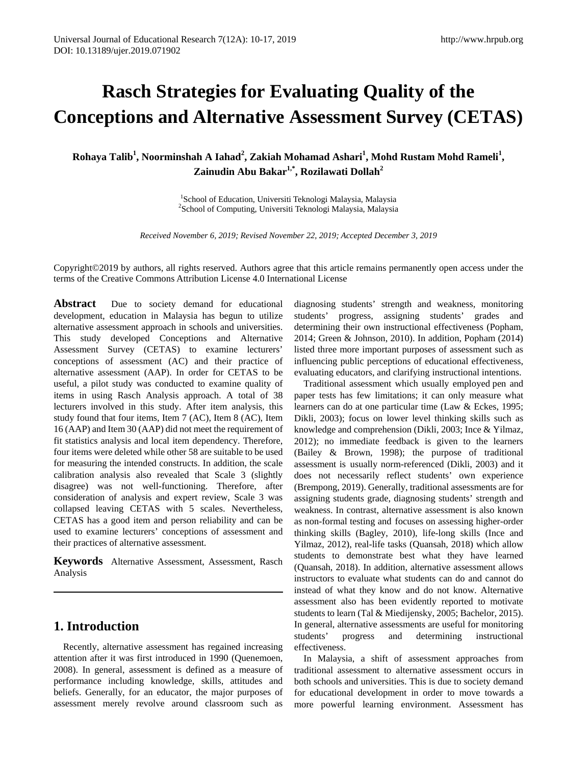# **Rasch Strategies for Evaluating Quality of the Conceptions and Alternative Assessment Survey (CETAS)**

**Rohaya Talib<sup>1</sup> , Noorminshah A Iahad<sup>2</sup> , Zakiah Mohamad Ashari<sup>1</sup> , Mohd Rustam Mohd Rameli<sup>1</sup> , Zainudin Abu Bakar1,\*, Rozilawati Dollah2**

> <sup>1</sup>School of Education, Universiti Teknologi Malaysia, Malaysia <sup>1</sup>School of Education, Universiti Teknologi Malaysia, Malaysia<br><sup>2</sup>School of Computing, Universiti Teknologi Malaysia, Malaysia

*Received November 6, 2019; Revised November 22, 2019; Accepted December 3, 2019*

Copyright©2019 by authors, all rights reserved. Authors agree that this article remains permanently open access under the terms of the Creative Commons Attribution License 4.0 International License

**Abstract** Due to society demand for educational development, education in Malaysia has begun to utilize alternative assessment approach in schools and universities. This study developed Conceptions and Alternative Assessment Survey (CETAS) to examine lecturers' conceptions of assessment (AC) and their practice of alternative assessment (AAP). In order for CETAS to be useful, a pilot study was conducted to examine quality of items in using Rasch Analysis approach. A total of 38 lecturers involved in this study. After item analysis, this study found that four items, Item 7 (AC), Item 8 (AC), Item 16 (AAP) and Item 30 (AAP) did not meet the requirement of fit statistics analysis and local item dependency. Therefore, four items were deleted while other 58 are suitable to be used for measuring the intended constructs. In addition, the scale calibration analysis also revealed that Scale 3 (slightly disagree) was not well-functioning. Therefore, after consideration of analysis and expert review, Scale 3 was collapsed leaving CETAS with 5 scales. Nevertheless, CETAS has a good item and person reliability and can be used to examine lecturers' conceptions of assessment and their practices of alternative assessment.

**Keywords**Alternative Assessment, Assessment, Rasch Analysis

# **1. Introduction**

Recently, alternative assessment has regained increasing attention after it was first introduced in 1990 (Quenemoen, 2008). In general, assessment is defined as a measure of performance including knowledge, skills, attitudes and beliefs. Generally, for an educator, the major purposes of assessment merely revolve around classroom such as diagnosing students' strength and weakness, monitoring students' progress, assigning students' grades and determining their own instructional effectiveness (Popham, 2014; Green & Johnson, 2010). In addition, Popham (2014) listed three more important purposes of assessment such as influencing public perceptions of educational effectiveness, evaluating educators, and clarifying instructional intentions.

Traditional assessment which usually employed pen and paper tests has few limitations; it can only measure what learners can do at one particular time (Law & Eckes, 1995; Dikli, 2003); focus on lower level thinking skills such as knowledge and comprehension (Dikli, 2003; Ince & Yilmaz, 2012); no immediate feedback is given to the learners (Bailey & Brown, 1998); the purpose of traditional assessment is usually norm-referenced (Dikli, 2003) and it does not necessarily reflect students' own experience (Brempong, 2019). Generally, traditional assessments are for assigning students grade, diagnosing students' strength and weakness. In contrast, alternative assessment is also known as non-formal testing and focuses on assessing higher-order thinking skills (Bagley, 2010), life-long skills (Ince and Yilmaz, 2012), real-life tasks (Quansah, 2018) which allow students to demonstrate best what they have learned (Quansah, 2018). In addition, alternative assessment allows instructors to evaluate what students can do and cannot do instead of what they know and do not know. Alternative assessment also has been evidently reported to motivate students to learn (Tal & Miedijensky, 2005; Bachelor, 2015). In general, alternative assessments are useful for monitoring students' progress and determining instructional effectiveness.

In Malaysia, a shift of assessment approaches from traditional assessment to alternative assessment occurs in both schools and universities. This is due to society demand for educational development in order to move towards a more powerful learning environment. Assessment has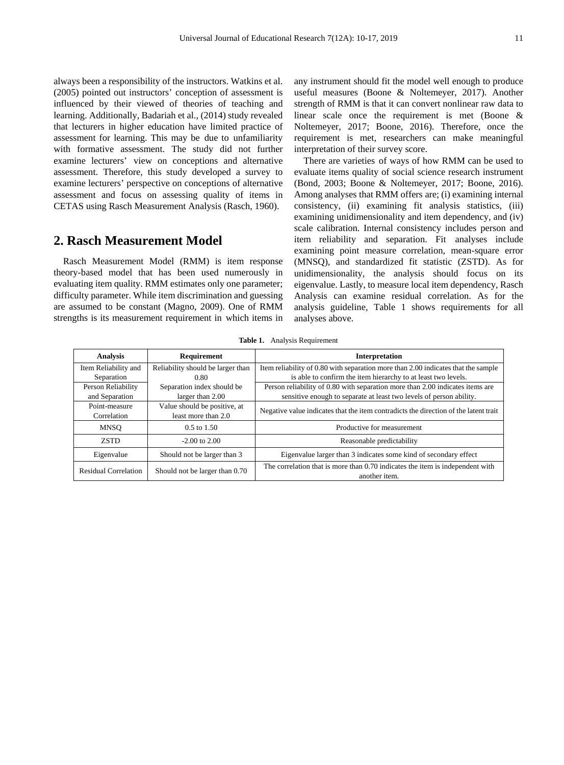always been a responsibility of the instructors. Watkins et al. (2005) pointed out instructors' conception of assessment is influenced by their viewed of theories of teaching and learning. Additionally, Badariah et al., (2014) study revealed that lecturers in higher education have limited practice of assessment for learning. This may be due to unfamiliarity with formative assessment. The study did not further examine lecturers' view on conceptions and alternative assessment. Therefore, this study developed a survey to examine lecturers' perspective on conceptions of alternative assessment and focus on assessing quality of items in CETAS using Rasch Measurement Analysis (Rasch, 1960).

# **2. Rasch Measurement Model**

Rasch Measurement Model (RMM) is item response theory-based model that has been used numerously in evaluating item quality. RMM estimates only one parameter; difficulty parameter. While item discrimination and guessing are assumed to be constant (Magno, 2009). One of RMM strengths is its measurement requirement in which items in

any instrument should fit the model well enough to produce useful measures (Boone & Noltemeyer, 2017). Another strength of RMM is that it can convert nonlinear raw data to linear scale once the requirement is met (Boone & Noltemeyer, 2017; Boone, 2016). Therefore, once the requirement is met, researchers can make meaningful interpretation of their survey score.

There are varieties of ways of how RMM can be used to evaluate items quality of social science research instrument (Bond, 2003; Boone & Noltemeyer, 2017; Boone, 2016). Among analyses that RMM offers are; (i) examining internal consistency, (ii) examining fit analysis statistics, (iii) examining unidimensionality and item dependency, and (iv) scale calibration. Internal consistency includes person and item reliability and separation. Fit analyses include examining point measure correlation, mean-square error (MNSQ), and standardized fit statistic (ZSTD). As for unidimensionality, the analysis should focus on its eigenvalue. Lastly, to measure local item dependency, Rasch Analysis can examine residual correlation. As for the analysis guideline, Table 1 shows requirements for all analyses above.

**Table 1.** Analysis Requirement

| <b>Analysis</b>             | Requirement<br>Interpretation     |                                                                                      |
|-----------------------------|-----------------------------------|--------------------------------------------------------------------------------------|
| Item Reliability and        | Reliability should be larger than | Item reliability of 0.80 with separation more than 2.00 indicates that the sample    |
| Separation                  | 0.80                              | is able to confirm the item hierarchy to at least two levels.                        |
| Person Reliability          | Separation index should be        | Person reliability of 0.80 with separation more than 2.00 indicates items are        |
| and Separation              | larger than 2.00                  | sensitive enough to separate at least two levels of person ability.                  |
| Point-measure               | Value should be positive, at      | Negative value indicates that the item contradicts the direction of the latent trait |
| Correlation                 | least more than 2.0               |                                                                                      |
| <b>MNSO</b>                 | $0.5$ to $1.50$                   | Productive for measurement                                                           |
| <b>ZSTD</b>                 | $-2.00$ to $2.00$                 | Reasonable predictability                                                            |
| Eigenvalue                  | Should not be larger than 3       | Eigenvalue larger than 3 indicates some kind of secondary effect                     |
| <b>Residual Correlation</b> |                                   | The correlation that is more than 0.70 indicates the item is independent with        |
|                             | Should not be larger than 0.70    | another item.                                                                        |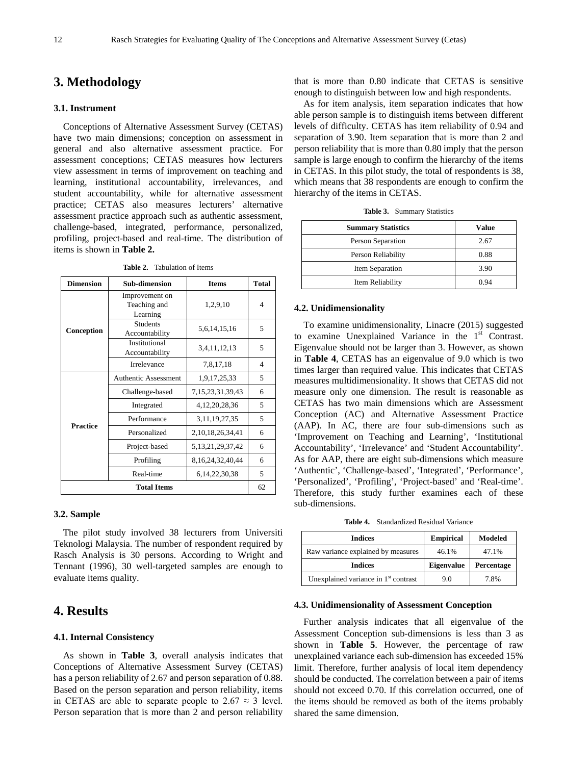## **3. Methodology**

#### **3.1. Instrument**

Conceptions of Alternative Assessment Survey (CETAS) have two main dimensions; conception on assessment in general and also alternative assessment practice. For assessment conceptions; CETAS measures how lecturers view assessment in terms of improvement on teaching and learning, institutional accountability, irrelevances, and student accountability, while for alternative assessment practice; CETAS also measures lecturers' alternative assessment practice approach such as authentic assessment, challenge-based, integrated, performance, personalized, profiling, project-based and real-time. The distribution of items is shown in **Table 2.**

| <b>Dimension</b>   | <b>Sub-dimension</b><br><b>Items</b>       |                       | <b>Total</b> |
|--------------------|--------------------------------------------|-----------------------|--------------|
|                    | Improvement on<br>Teaching and<br>Learning | 1,2,9,10              | 4            |
| Conception         | <b>Students</b><br>Accountability          | 5,6,14,15,16          | 5            |
|                    | Institutional<br>Accountability            | 3,4,11,12,13          | 5            |
|                    | Irrelevance                                | 7,8,17,18             | 4            |
| <b>Practice</b>    | <b>Authentic Assessment</b>                | 1,9,17,25,33          | 5            |
|                    | Challenge-based                            | 7, 15, 23, 31, 39, 43 | 6            |
|                    | Integrated                                 | 4, 12, 20, 28, 36     | 5            |
|                    | Performance                                | 3.11.19.27.35         | 5            |
|                    | Personalized                               | 2, 10, 18, 26, 34, 41 | 6            |
|                    | Project-based                              | 5, 13, 21, 29, 37, 42 | 6            |
|                    | Profiling                                  | 8, 16, 24, 32, 40, 44 | 6            |
|                    | Real-time                                  | 6, 14, 22, 30, 38     | 5            |
| <b>Total Items</b> |                                            |                       |              |

**Table 2.** Tabulation of Items

#### **3.2. Sample**

The pilot study involved 38 lecturers from Universiti Teknologi Malaysia. The number of respondent required by Rasch Analysis is 30 persons. According to Wright and Tennant (1996), 30 well-targeted samples are enough to evaluate items quality.

## **4. Results**

#### **4.1. Internal Consistency**

As shown in **Table 3**, overall analysis indicates that Conceptions of Alternative Assessment Survey (CETAS) has a person reliability of 2.67 and person separation of 0.88. Based on the person separation and person reliability, items in CETAS are able to separate people to  $2.67 \approx 3$  level. Person separation that is more than 2 and person reliability

that is more than 0.80 indicate that CETAS is sensitive enough to distinguish between low and high respondents.

As for item analysis, item separation indicates that how able person sample is to distinguish items between different levels of difficulty. CETAS has item reliability of 0.94 and separation of 3.90. Item separation that is more than 2 and person reliability that is more than 0.80 imply that the person sample is large enough to confirm the hierarchy of the items in CETAS. In this pilot study, the total of respondents is 38, which means that 38 respondents are enough to confirm the hierarchy of the items in CETAS.

|  | Table 3. Summary Statistics |  |
|--|-----------------------------|--|
|--|-----------------------------|--|

| <b>Summary Statistics</b> | Value |
|---------------------------|-------|
| Person Separation         | 2.67  |
| Person Reliability        | 0.88  |
| Item Separation           | 3.90  |
| Item Reliability          | በ 94  |

#### **4.2. Unidimensionality**

To examine unidimensionality, Linacre (2015) suggested to examine Unexplained Variance in the  $1<sup>st</sup>$  Contrast. Eigenvalue should not be larger than 3. However, as shown in **Table 4**, CETAS has an eigenvalue of 9.0 which is two times larger than required value. This indicates that CETAS measures multidimensionality. It shows that CETAS did not measure only one dimension. The result is reasonable as CETAS has two main dimensions which are Assessment Conception (AC) and Alternative Assessment Practice (AAP). In AC, there are four sub-dimensions such as 'Improvement on Teaching and Learning', 'Institutional Accountability', 'Irrelevance' and 'Student Accountability'. As for AAP, there are eight sub-dimensions which measure 'Authentic', 'Challenge-based', 'Integrated', 'Performance', 'Personalized', 'Profiling', 'Project-based' and 'Real-time'. Therefore, this study further examines each of these sub-dimensions.

**Table 4.** Standardized Residual Variance

| <b>Indices</b>                         | <b>Empirical</b>  | Modeled    |
|----------------------------------------|-------------------|------------|
| Raw variance explained by measures     | 46.1%             | 47.1%      |
| <b>Indices</b>                         | <b>Eigenvalue</b> | Percentage |
| Unexplained variance in $1st$ contrast | 9.0               | 7.8%       |

#### **4.3. Unidimensionality of Assessment Conception**

Further analysis indicates that all eigenvalue of the Assessment Conception sub-dimensions is less than 3 as shown in **Table 5**. However, the percentage of raw unexplained variance each sub-dimension has exceeded 15% limit. Therefore, further analysis of local item dependency should be conducted. The correlation between a pair of items should not exceed 0.70. If this correlation occurred, one of the items should be removed as both of the items probably shared the same dimension.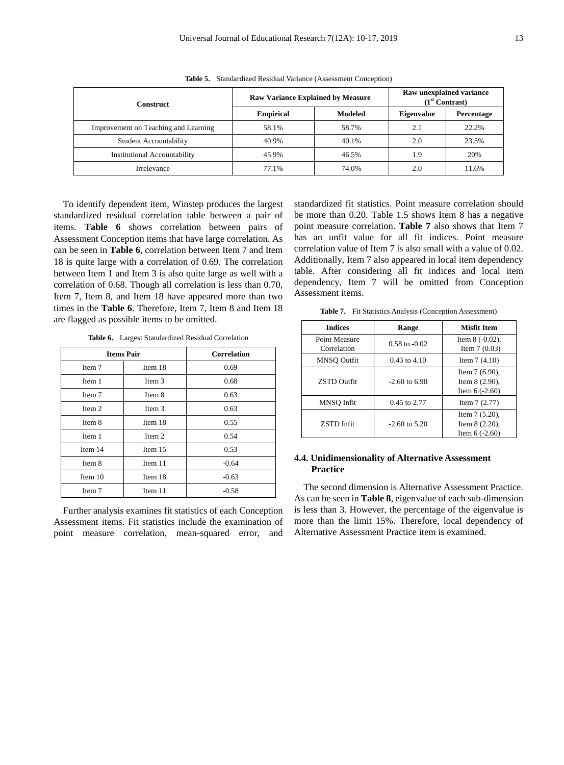| Construct                            | <b>Raw Variance Explained by Measure</b> |         | Raw unexplained variance<br>$(1st$ Contrast) |            |
|--------------------------------------|------------------------------------------|---------|----------------------------------------------|------------|
|                                      | <b>Empirical</b>                         | Modeled | <b>Eigenvalue</b>                            | Percentage |
| Improvement on Teaching and Learning | 58.1%                                    | 58.7%   | 2.1                                          | 22.2%      |
| <b>Student Accountability</b>        | 40.9%                                    | 40.1%   | 2.0                                          | 23.5%      |
| <b>Institutional Accountability</b>  | 45.9%                                    | 46.5%   | 1.9                                          | 20%        |
| Irrelevance                          | 77.1%                                    | 74.0%   | 2.0                                          | 11.6%      |

**Table 5.** Standardized Residual Variance (Assessment Conception)

To identify dependent item, Winstep produces the largest standardized residual correlation table between a pair of items. **Table 6** shows correlation between pairs of Assessment Conception items that have large correlation. As can be seen in **Table 6**, correlation between Item 7 and Item 18 is quite large with a correlation of 0.69. The correlation between Item 1 and Item 3 is also quite large as well with a correlation of 0.68. Though all correlation is less than 0.70, Item 7, Item 8, and Item 18 have appeared more than two times in the **Table 6**. Therefore, Item 7, Item 8 and Item 18 are flagged as possible items to be omitted.

| <b>Items Pair</b> |         | <b>Correlation</b> |
|-------------------|---------|--------------------|
| Item 7            | Item 18 | 0.69               |
| Item 1            | Item 3  | 0.68               |
| Item 7            | Item 8  | 0.63               |
| Item 2            | Item 3  | 0.63               |
| Item 8            | Item 18 | 0.55               |
| Item 1            | Item 2  | 0.54               |
| Item 14           | Item 15 | 0.53               |
| Item 8            | Item 11 | $-0.64$            |
| Item 10           | Item 18 | $-0.63$            |
| Item 7            | Item 11 | $-0.58$            |

**Table 6.** Largest Standardized Residual Correlation

Further analysis examines fit statistics of each Conception Assessment items. Fit statistics include the examination of point measure correlation, mean-squared error, and

standardized fit statistics. Point measure correlation should be more than 0.20. Table 1.5 shows Item 8 has a negative point measure correlation. **Table 7** also shows that Item 7 has an unfit value for all fit indices. Point measure correlation value of Item 7 is also small with a value of 0.02. Additionally, Item 7 also appeared in local item dependency table. After considering all fit indices and local item dependency, Item 7 will be omitted from Conception Assessment items.

Table 7. Fit Statistics Analysis (Conception Assessment)

| <b>Indices</b>               | Range             | <b>Misfit Item</b>                                      |  |
|------------------------------|-------------------|---------------------------------------------------------|--|
| Point Measure<br>Correlation | $0.58$ to $-0.02$ | Item $8(-0.02)$ ,<br>Item $7(0.03)$                     |  |
| MNSO Outfit                  | $0.43$ to $4.10$  | Item $7(4.10)$                                          |  |
| <b>ZSTD Outfit</b>           | $-2.60$ to 6.90   | Item $7(6.90)$ ,<br>Item $8(2.90)$ ,<br>Item $6(-2.60)$ |  |
| MNSO Infit                   | 0.45 to 2.77      | Item $7(2.77)$                                          |  |
| <b>ZSTD</b> Infit            | $-2.60$ to 5.20   | Item $7(5.20)$ ,<br>Item $8(2.20)$ ,<br>Item $6(-2.60)$ |  |

#### **4.4. Unidimensionality of Alternative Assessment Practice**

The second dimension is Alternative Assessment Practice. As can be seen in **Table 8**, eigenvalue of each sub-dimension is less than 3. However, the percentage of the eigenvalue is more than the limit 15%. Therefore, local dependency of Alternative Assessment Practice item is examined.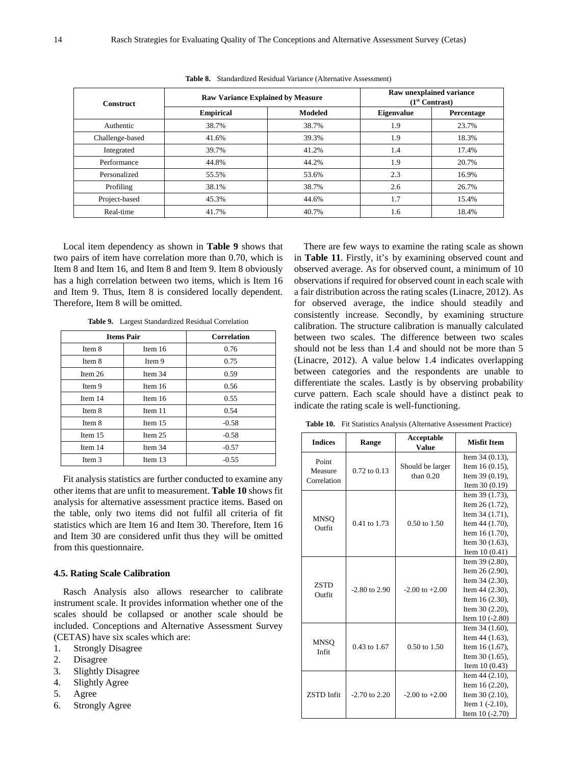| <b>Construct</b> | <b>Raw Variance Explained by Measure</b> |                | Raw unexplained variance<br>$(1st$ Contrast) |            |
|------------------|------------------------------------------|----------------|----------------------------------------------|------------|
|                  | <b>Empirical</b>                         | <b>Modeled</b> | <b>Eigenvalue</b>                            | Percentage |
| Authentic        | 38.7%                                    | 38.7%          | 1.9                                          | 23.7%      |
| Challenge-based  | 41.6%                                    | 39.3%          | 1.9                                          | 18.3%      |
| Integrated       | 39.7%                                    | 41.2%          | 1.4                                          | 17.4%      |
| Performance      | 44.8%                                    | 44.2%          | 1.9                                          | 20.7%      |
| Personalized     | 55.5%                                    | 53.6%          | 2.3                                          | 16.9%      |
| Profiling        | 38.1%                                    | 38.7%          | 2.6                                          | 26.7%      |
| Project-based    | 45.3%                                    | 44.6%          | 1.7                                          | 15.4%      |
| Real-time        | 41.7%                                    | 40.7%          | 1.6                                          | 18.4%      |

**Table 8.** Standardized Residual Variance (Alternative Assessment)

Local item dependency as shown in **Table 9** shows that two pairs of item have correlation more than 0.70, which is Item 8 and Item 16, and Item 8 and Item 9. Item 8 obviously has a high correlation between two items, which is Item 16 and Item 9. Thus, Item 8 is considered locally dependent. Therefore, Item 8 will be omitted.

|           | <b>Items Pair</b> | <b>Correlation</b> |
|-----------|-------------------|--------------------|
| Item 8    | Item 16           | 0.76               |
| Item 8    | Item 9            | 0.75               |
| Item $26$ | Item 34           | 0.59               |
| Item 9    | Item 16           | 0.56               |
| Item 14   | Item 16           | 0.55               |
| Item 8    | Item 11           | 0.54               |
| Item 8    | Item 15           | $-0.58$            |
| Item $15$ | Item 25           | $-0.58$            |
| Item 14   | Item 34           | $-0.57$            |
| Item 3    | Item 13           | $-0.55$            |

**Table 9.** Largest Standardized Residual Correlation

Fit analysis statistics are further conducted to examine any other items that are unfit to measurement. **Table 10** shows fit analysis for alternative assessment practice items. Based on the table, only two items did not fulfil all criteria of fit statistics which are Item 16 and Item 30. Therefore, Item 16 and Item 30 are considered unfit thus they will be omitted from this questionnaire.

#### **4.5. Rating Scale Calibration**

Rasch Analysis also allows researcher to calibrate instrument scale. It provides information whether one of the scales should be collapsed or another scale should be included. Conceptions and Alternative Assessment Survey (CETAS) have six scales which are:

- 1. Strongly Disagree
- 2. Disagree
- 3. Slightly Disagree
- 4. Slightly Agree
- 5. Agree
- 6. Strongly Agree

There are few ways to examine the rating scale as shown in **Table 11**. Firstly, it's by examining observed count and observed average. As for observed count, a minimum of 10 observations if required for observed count in each scale with a fair distribution across the rating scales (Linacre, 2012). As for observed average, the indice should steadily and consistently increase. Secondly, by examining structure calibration. The structure calibration is manually calculated between two scales. The difference between two scales should not be less than 1.4 and should not be more than 5 (Linacre, 2012). A value below 1.4 indicates overlapping between categories and the respondents are unable to differentiate the scales. Lastly is by observing probability curve pattern. Each scale should have a distinct peak to indicate the rating scale is well-functioning.

**Table 10.** Fit Statistics Analysis (Alternative Assessment Practice)

| <b>Indices</b>               | Range             | Acceptable<br><b>Value</b> | <b>Misfit Item</b>   |
|------------------------------|-------------------|----------------------------|----------------------|
| Point                        |                   |                            | Item $34(0.13)$ ,    |
| Measure                      | $0.72$ to $0.13$  | Should be larger           | Item $16(0.15)$ ,    |
| Correlation                  |                   | than $0.20$                | Item $39(0.19)$ ,    |
|                              |                   |                            | Item $30(0.19)$      |
|                              |                   |                            | Item 39 (1.73),      |
|                              |                   |                            | Item 26 (1.72),      |
|                              |                   |                            | Item $34(1.71)$ ,    |
| <b>MNSO</b><br><b>Outfit</b> | 0.41 to 1.73      | $0.50 \text{ to } 1.50$    | Item 44 (1.70),      |
|                              |                   |                            | Item 16 (1.70),      |
|                              |                   |                            | Item 30 (1.63),      |
|                              |                   |                            | Item $10(0.41)$      |
|                              |                   | $-2.00$ to $+2.00$         | Item 39 (2.80),      |
|                              | $-2.80$ to 2.90   |                            | Item $26(2.90)$ ,    |
| <b>ZSTD</b>                  |                   |                            | Item $34(2.30)$ ,    |
| Outfit                       |                   |                            | Item $44$ $(2.30)$ , |
|                              |                   |                            | Item $16(2.30)$ ,    |
|                              |                   |                            | Item $30(2.20)$ ,    |
|                              |                   |                            | Item $10(-2.80)$     |
|                              |                   |                            | Item $34(1.60)$ ,    |
| <b>MNSO</b>                  | 0.43 to 1.67      | $0.50 \text{ to } 1.50$    | Item $44$ $(1.63)$ , |
| Infit                        |                   |                            | Item 16 (1.67),      |
|                              |                   |                            | Item $30(1.65)$ ,    |
|                              |                   |                            | Item $10(0.43)$      |
|                              |                   |                            | Item $44(2.10)$ ,    |
|                              |                   |                            | Item $16(2.20)$ ,    |
| <b>ZSTD</b> Infit            | $-2.70$ to $2.20$ | $-2.00$ to $+2.00$         | Item $30(2.10)$ ,    |
|                              |                   |                            | Item $1$ $(-2.10)$ , |
|                              |                   |                            | Item $10(-2.70)$     |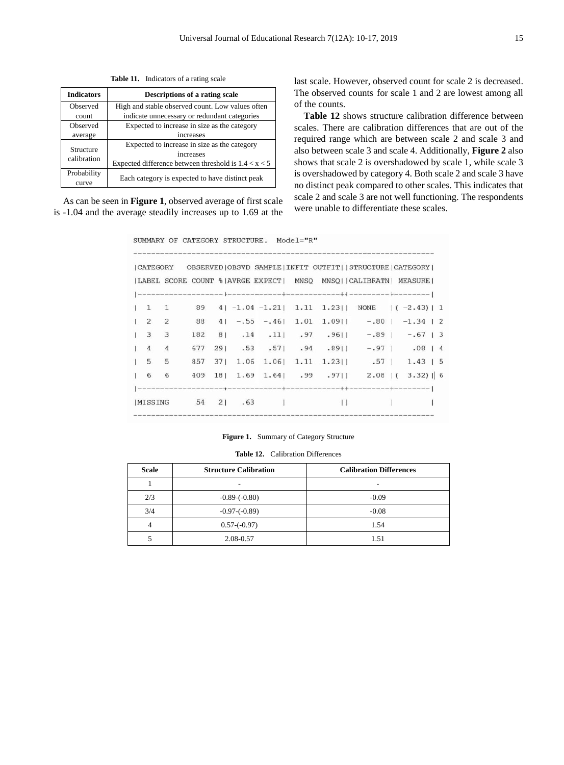**Table 11.** Indicators of a rating scale

| <b>Indicators</b>        | Descriptions of a rating scale                         |  |
|--------------------------|--------------------------------------------------------|--|
| Observed                 | High and stable observed count. Low values often       |  |
| count                    | indicate unnecessary or redundant categories           |  |
| Observed                 | Expected to increase in size as the category           |  |
| average                  | increases                                              |  |
| Structure<br>calibration | Expected to increase in size as the category           |  |
|                          | increases                                              |  |
|                          | Expected difference between threshold is $1.4 < x < 5$ |  |
| Probability              |                                                        |  |
| curve                    | Each category is expected to have distinct peak        |  |

As can be seen in **Figure 1**, observed average of first scale is -1.04 and the average steadily increases up to 1.69 at the last scale. However, observed count for scale 2 is decreased. The observed counts for scale 1 and 2 are lowest among all of the counts.

**Table 12** shows structure calibration difference between scales. There are calibration differences that are out of the required range which are between scale 2 and scale 3 and also between scale 3 and scale 4. Additionally, **Figure 2** also shows that scale 2 is overshadowed by scale 1, while scale 3 is overshadowed by category 4. Both scale 2 and scale 3 have no distinct peak compared to other scales. This indicates that scale 2 and scale 3 are not well functioning. The respondents were unable to differentiate these scales.

SUMMARY OF CATEGORY STRUCTURE. Model="R"

|                     |                |     |           |  |        | LABEL SCORE COUNT % AVRGE EXPECT  MNSQ MNSQ  CALIBRATN  MEASURE |                                                                                    |  |
|---------------------|----------------|-----|-----------|--|--------|-----------------------------------------------------------------|------------------------------------------------------------------------------------|--|
|                     |                |     |           |  |        |                                                                 |                                                                                    |  |
| $1 \quad 1 \quad 1$ |                |     |           |  |        |                                                                 | 89 $4 -1.04-1.21 $ 1.11 1.23   NONE $ (-2.43) $ 1                                  |  |
| 122                 |                |     |           |  |        |                                                                 | 88 4 - 55 - 46 1.01 1.09 - 80 - 1.34 2                                             |  |
| $1 \quad 3 \quad 3$ |                |     |           |  |        |                                                                 | $182 \quad 81 \quad .14 \quad .111 \quad .97 \quad .9611 \quad -.891 \quad -.6713$ |  |
| 14                  | $\overline{4}$ | 677 |           |  |        |                                                                 | 29   .53 .57   .94 .89     -.97   .08   4                                          |  |
| 1 <sub>5</sub>      | 5              | 857 |           |  |        |                                                                 | 37   1.06 1.06   1.11 1.23   1.57   1.43   5                                       |  |
| 16                  | 6              | 409 |           |  |        |                                                                 | 18   1.69 1.64   .99 .97   2.08   ( 3.32)   6                                      |  |
|                     |                |     |           |  |        |                                                                 |                                                                                    |  |
| <b>IMISSING</b>     |                |     | 54 21 .63 |  | $\Box$ |                                                                 |                                                                                    |  |

Figure 1. Summary of Category Structure

**Table 12.** Calibration Differences

| <b>Scale</b> | <b>Structure Calibration</b> | <b>Calibration Differences</b> |
|--------------|------------------------------|--------------------------------|
|              |                              |                                |
| 2/3          | $-0.89 - (-0.80)$            | $-0.09$                        |
| 3/4          | $-0.97 - (-0.89)$            | $-0.08$                        |
|              | $0.57-(-0.97)$               | 1.54                           |
|              | 2.08-0.57                    | 1.51                           |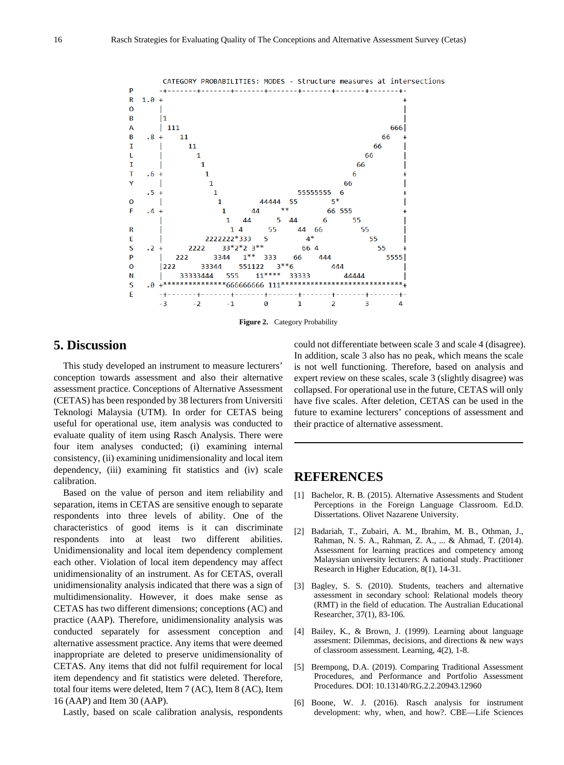

**Figure 2.** Category Probability

### **5. Discussion**

This study developed an instrument to measure lecturers' conception towards assessment and also their alternative assessment practice. Conceptions of Alternative Assessment (CETAS) has been responded by 38 lecturers from Universiti Teknologi Malaysia (UTM). In order for CETAS being useful for operational use, item analysis was conducted to evaluate quality of item using Rasch Analysis. There were four item analyses conducted; (i) examining internal consistency, (ii) examining unidimensionality and local item dependency, (iii) examining fit statistics and (iv) scale calibration.

Based on the value of person and item reliability and separation, items in CETAS are sensitive enough to separate respondents into three levels of ability. One of the characteristics of good items is it can discriminate respondents into at least two different abilities. Unidimensionality and local item dependency complement each other. Violation of local item dependency may affect unidimensionality of an instrument. As for CETAS, overall unidimensionality analysis indicated that there was a sign of multidimensionality. However, it does make sense as CETAS has two different dimensions; conceptions (AC) and practice (AAP). Therefore, unidimensionality analysis was conducted separately for assessment conception and alternative assessment practice. Any items that were deemed inappropriate are deleted to preserve unidimensionality of CETAS. Any items that did not fulfil requirement for local item dependency and fit statistics were deleted. Therefore, total four items were deleted, Item 7 (AC), Item 8 (AC), Item 16 (AAP) and Item 30 (AAP).

Lastly, based on scale calibration analysis, respondents

could not differentiate between scale 3 and scale 4 (disagree). In addition, scale 3 also has no peak, which means the scale is not well functioning. Therefore, based on analysis and expert review on these scales, scale 3 (slightly disagree) was collapsed. For operational use in the future, CETAS will only have five scales. After deletion, CETAS can be used in the future to examine lecturers' conceptions of assessment and their practice of alternative assessment.

# **REFERENCES**

- [1] Bachelor, R. B. (2015). Alternative Assessments and Student Perceptions in the Foreign Language Classroom. Ed.D. Dissertations. Olivet Nazarene University.
- [2] Badariah, T., Zubairi, A. M., Ibrahim, M. B., Othman, J., Rahman, N. S. A., Rahman, Z. A., ... & Ahmad, T. (2014). Assessment for learning practices and competency among Malaysian university lecturers: A national study. Practitioner Research in Higher Education, 8(1), 14-31.
- [3] Bagley, S. S. (2010). Students, teachers and alternative assessment in secondary school: Relational models theory (RMT) in the field of education. The Australian Educational Researcher, 37(1), 83-106.
- [4] Bailey, K., & Brown, J. (1999). Learning about language assesment: Dilemmas, decisions, and directions & new ways of classroom assessment. Learning, 4(2), 1-8.
- [5] Brempong, D.A. (2019). Comparing Traditional Assessment Procedures, and Performance and Portfolio Assessment Procedures. DOI: 10.13140/RG.2.2.20943.12960
- [6] Boone, W. J. (2016). Rasch analysis for instrument development: why, when, and how?. CBE—Life Sciences